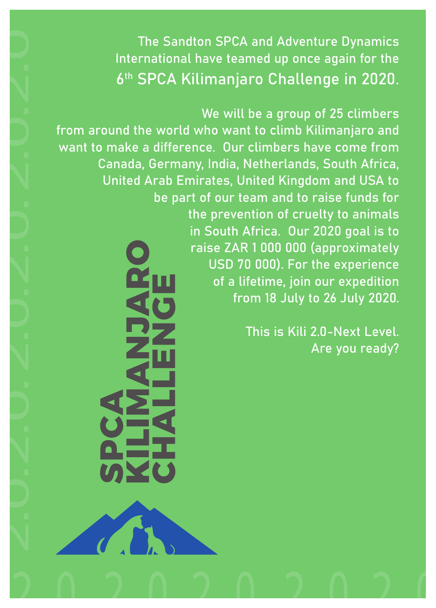The Sandton SPCA and Adventure Dynamics International have teamed up once again for the 6<sup>th</sup> SPCA Kilimanjaro Challenge in 2020.

We will be a group of 25 climbers from around the world who want to climb Kilimanjaro and want to make a difference. Our climbers have come from Canada, Germany, India, Netherlands, South Africa, United Arab Emirates, United Kingdom and USA to be part of our team and to raise funds for the prevention of cruelty to animals in South Africa. Our 2020 goal is to raise ZAR 1 000 000 (approximately USD 70 000). For the experience of a lifetime, join our expedition from 18 July to 26 July 2020. The Sandton SPCA and Adventure Dynamics<br>
International have teamed up once again for the<br>
6<sup>th</sup> SPCA Killimanjaro Challenge in 2020.<br>
from around the world who want to climb Killimanjaro and<br>
want to make a difference. Our

This is Kili 2.0-Next Level. Are you ready?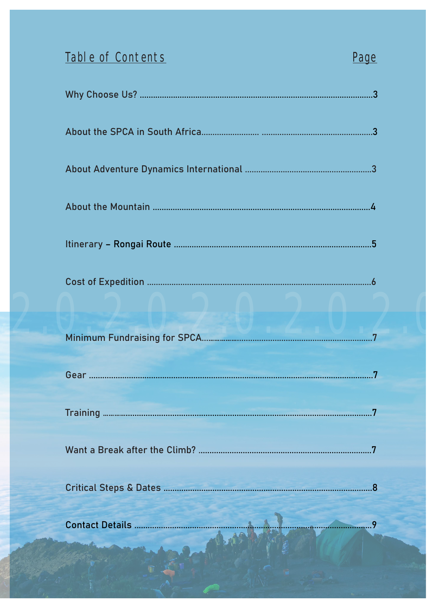## Table of Contents

## Page

| 8. |
|----|
| 9  |
|    |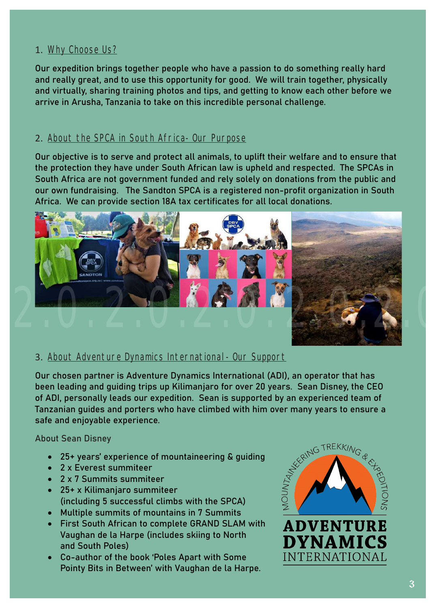#### 1. Why Choose Us?

Our expedition brings together people who have a passion to do something really hard and really great, and to use this opportunity for good. We will train together, physically and virtually, sharing training photos and tips, and getting to know each other before we arrive in Arusha, Tanzania to take on this incredible personal challenge.

#### 2. About the SPCA in South Africa- Our Purpose

Our objective is to serve and protect all animals, to uplift their welfare and to ensure that the protection they have under South African law is upheld and respected. The SPCAs in South Africa are not government funded and rely solely on donations from the public and our own fundraising. The Sandton SPCA is a registered non-profit organization in South Africa. We can provide section 18A tax certificates for all local donations.



#### 3. About Adventure Dynamics International- Our Support

Our chosen partner is Adventure Dynamics International (ADI), an operator that has been leading and guiding trips up Kilimanjaro for over 20 years. Sean Disney, the CEO of ADI, personally leads our expedition. Sean is supported by an experienced team of safe and enjoyable experience.

#### About Sean Disney

- • 25+ years' experience of mountaineering & guiding
- • 2 x Everest summiteer
- • 2 x 7 Summits summiteer
- • 25+ x Kilimanjaro summiteer (including 5 successful climbs with the SPCA)
- • Multiple summits of mountains in 7 Summits
- • First South African to complete GRAND SLAM with Vaughan de la Harpe (includes skiing to North and South Poles)
- • Co-author of the book 'Poles Apart with Some Pointy Bits in Between' with Vaughan de la Harpe.



**ADVENTURE** 

**DYNAMICS** 

**INTERNATIONAL**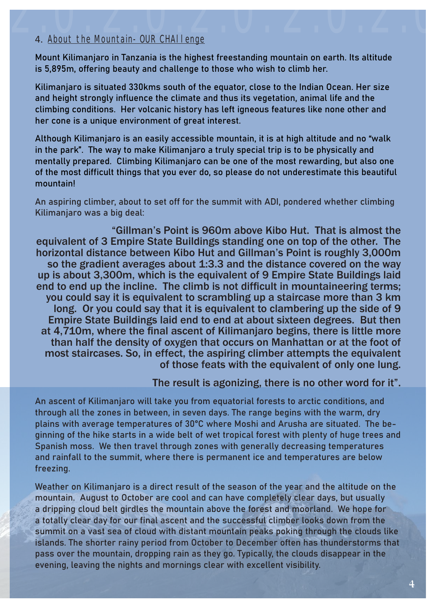## 4. About the Mountain- OUR CHAllenge 4. About the Mountain- OUR CHAI lenge

Mount Kilimanjaro in Tanzania is the highest freestanding mountain on earth. Its altitude is 5,895m, offering beauty and challenge to those who wish to climb her.

Kilimanjaro is situated 330kms south of the equator, close to the Indian Ocean. Her size and height strongly influence the climate and thus its vegetation, animal life and the climbing conditions. Her volcanic history has left igneous features like none other and her cone is a unique environment of great interest.

Although Kilimanjaro is an easily accessible mountain, it is at high altitude and no "walk in the park". The way to make Kilimanjaro a truly special trip is to be physically and mentally prepared. Climbing Kilimanjaro can be one of the most rewarding, but also one of the most difficult things that you ever do, so please do not underestimate this beautiful mountain!

An aspiring climber, about to set off for the summit with ADI, pondered whether climbing Kilimanjaro was a big deal:

 "Gillman's Point is 960m above Kibo Hut. That is almost the equivalent of 3 Empire State Buildings standing one on top of the other. The horizontal distance between Kibo Hut and Gillman's Point is roughly 3,000m so the gradient averages about 1:3.3 and the distance covered on the way up is about 3,300m, which is the equivalent of 9 Empire State Buildings laid end to end up the incline. The climb is not difficult in mountaineering terms; you could say it is equivalent to scrambling up a staircase more than 3 km long. Or you could say that it is equivalent to clambering up the side of 9 Empire State Buildings laid end to end at about sixteen degrees. But then at 4,710m, where the final ascent of Kilimanjaro begins, there is little more than half the density of oxygen that occurs on Manhattan or at the foot of most staircases. So, in effect, the aspiring climber attempts the equivalent of those feats with the equivalent of only one lung.

#### The result is agonizing, there is no other word for it".

An ascent of Kilimanjaro will take you from equatorial forests to arctic conditions, and through all the zones in between, in seven days. The range begins with the warm, dry plains with average temperatures of 30°C where Moshi and Arusha are situated. The beginning of the hike starts in a wide belt of wet tropical forest with plenty of huge trees and Spanish moss. We then travel through zones with generally decreasing temperatures and rainfall to the summit, where there is permanent ice and temperatures are below freezing.

Weather on Kilimanjaro is a direct result of the season of the year and the altitude on the mountain. August to October are cool and can have completely clear days, but usually a dripping cloud belt girdles the mountain above the forest and moorland. We hope for a totally clear day for our final ascent and the successful climber looks down from the summit on a vast sea of cloud with distant mountain peaks poking through the clouds like islands. The shorter rainy period from October to December often has thunderstorms that pass over the mountain, dropping rain as they go. Typically, the clouds disappear in the evening, leaving the nights and mornings clear with excellent visibility.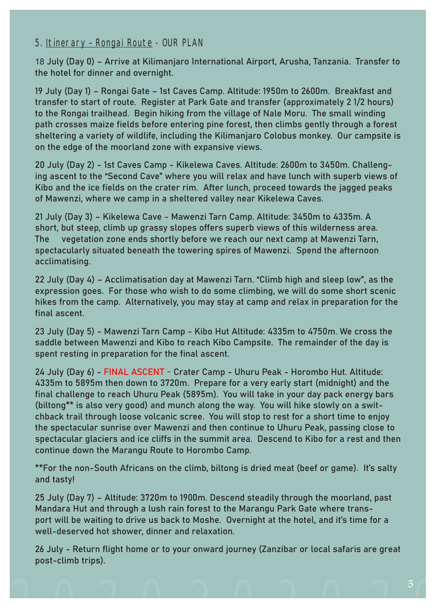#### 5. Itinerary – Rongai Route - OUR PLAN

18 July (Day 0) – Arrive at Kilimanjaro International Airport, Arusha, Tanzania. Transfer to the hotel for dinner and overnight.

19 July (Day 1) – Rongai Gate – 1st Caves Camp. Altitude: 1950m to 2600m. Breakfast and transfer to start of route. Register at Park Gate and transfer (approximately 2 1/2 hours) to the Rongai trailhead. Begin hiking from the village of Nale Moru. The small winding path crosses maize fields before entering pine forest, then climbs gently through a forest sheltering a variety of wildlife, including the Kilimanjaro Colobus monkey. Our campsite is on the edge of the moorland zone with expansive views.

20 July (Day 2) - 1st Caves Camp - Kikelewa Caves. Altitude: 2600m to 3450m. Challenging ascent to the "Second Cave" where you will relax and have lunch with superb views of Kibo and the ice fields on the crater rim. After lunch, proceed towards the jagged peaks of Mawenzi, where we camp in a sheltered valley near Kikelewa Caves.

21 July (Day 3) – Kikelewa Cave - Mawenzi Tarn Camp. Altitude: 3450m to 4335m. A short, but steep, climb up grassy slopes offers superb views of this wilderness area. The vegetation zone ends shortly before we reach our next camp at Mawenzi Tarn, spectacularly situated beneath the towering spires of Mawenzi. Spend the afternoon acclimatising.

22 July (Day 4) – Acclimatisation day at Mawenzi Tarn. "Climb high and sleep low", as the expression goes. For those who wish to do some climbing, we will do some short scenic hikes from the camp. Alternatively, you may stay at camp and relax in preparation for the final ascent.

23 July (Day 5) - Mawenzi Tarn Camp - Kibo Hut Altitude: 4335m to 4750m. We cross the saddle between Mawenzi and Kibo to reach Kibo Campsite. The remainder of the day is spent resting in preparation for the final ascent.

24 July (Day 6) - FINAL ASCENT - Crater Camp - Uhuru Peak - Horombo Hut. Altitude: 4335m to 5895m then down to 3720m. Prepare for a very early start (midnight) and the final challenge to reach Uhuru Peak (5895m). You will take in your day pack energy bars (biltong\*\* is also very good) and munch along the way. You will hike slowly on a switchback trail through loose volcanic scree. You will stop to rest for a short time to enjoy the spectacular sunrise over Mawenzi and then continue to Uhuru Peak, passing close to spectacular glaciers and ice cliffs in the summit area. Descend to Kibo for a rest and then continue down the Marangu Route to Horombo Camp.

\*\*For the non-South Africans on the climb, biltong is dried meat (beef or game). It's salty and tasty!

25 July (Day 7) – Altitude: 3720m to 1900m. Descend steadily through the moorland, past Mandara Hut and through a lush rain forest to the Marangu Park Gate where transport will be waiting to drive us back to Moshe. Overnight at the hotel, and it's time for a well-deserved hot shower, dinner and relaxation.

26 July - Return flight home or to your onward journey (Zanzibar or local safaris are great post-climb trips).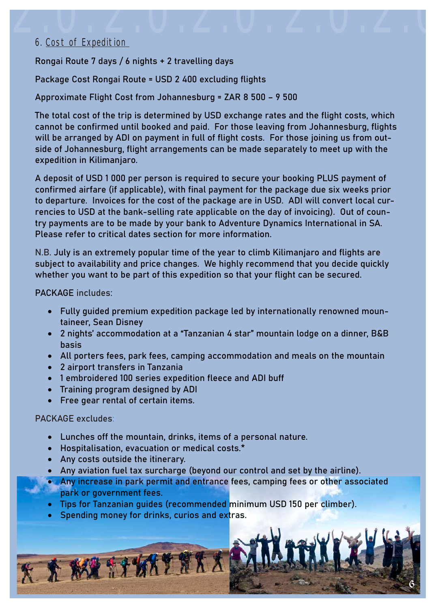## 2.0.2.0. 6. Cost of Expedition 2.0.2.0. 2.0.2.0

Rongai Route 7 days / 6 nights + 2 travelling days

Package Cost Rongai Route = USD 2 400 excluding flights

Approximate Flight Cost from Johannesburg = ZAR 8 500 – 9 500

The total cost of the trip is determined by USD exchange rates and the flight costs, which cannot be confirmed until booked and paid. For those leaving from Johannesburg, flights will be arranged by ADI on payment in full of flight costs. For those joining us from outside of Johannesburg, flight arrangements can be made separately to meet up with the expedition in Kilimanjaro.

A deposit of USD 1 000 per person is required to secure your booking PLUS payment of confirmed airfare (if applicable), with final payment for the package due six weeks prior to departure. Invoices for the cost of the package are in USD. ADI will convert local currencies to USD at the bank-selling rate applicable on the day of invoicing). Out of country payments are to be made by your bank to Adventure Dynamics International in SA. Please refer to critical dates section for more information.

N.B. July is an extremely popular time of the year to climb Kilimanjaro and flights are subject to availability and price changes. We highly recommend that you decide quickly whether you want to be part of this expedition so that your flight can be secured.

PACKAGE includes:

- Fully guided premium expedition package led by internationally renowned mountaineer, Sean Disney
- • 2 nights' accommodation at a "Tanzanian 4 star" mountain lodge on a dinner, B&B basis
- • All porters fees, park fees, camping accommodation and meals on the mountain
- • 2 airport transfers in Tanzania
- • 1 embroidered 100 series expedition fleece and ADI buff
- • Training program designed by ADI
- • Free gear rental of certain items.

#### PACKAGE excludes:

- • Lunches off the mountain, drinks, items of a personal nature.
- Hospitalisation, evacuation or medical costs.\*
- • Any costs outside the itinerary.

KA KA SIKITAKA

- • Any aviation fuel tax surcharge (beyond our control and set by the airline).
- Any increase in park permit and entrance fees, camping fees or other associated park or government fees.

6

- Tips for Tanzanian guides (recommended minimum USD 150 per climber).
- Spending money for drinks, curios and extras.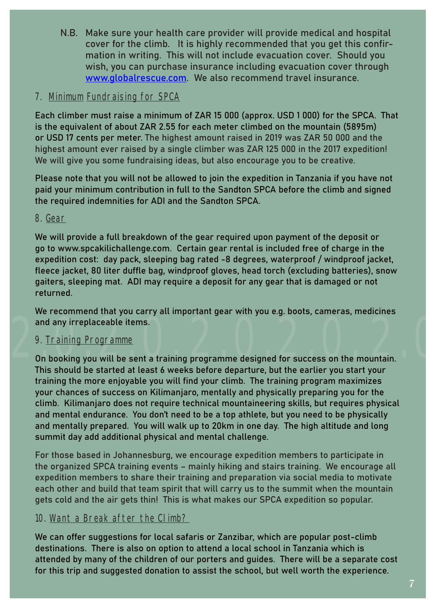N.B. Make sure your health care provider will provide medical and hospital cover for the climb. It is highly recommended that you get this confirmation in writing. This will not include evacuation cover. Should you wish, you can purchase insurance including evacuation cover through www.globalrescue.com. We also recommend travel insurance.

#### 7. Minimum Fundraising for SPCA

Each climber must raise a minimum of ZAR 15 000 (approx. USD 1 000) for the SPCA. That is the equivalent of about ZAR 2.55 for each meter climbed on the mountain (5895m) or USD 17 cents per meter. The highest amount raised in 2019 was ZAR 50 000 and the highest amount ever raised by a single climber was ZAR 125 000 in the 2017 expedition! We will give you some fundraising ideas, but also encourage you to be creative.

Please note that you will not be allowed to join the expedition in Tanzania if you have not paid your minimum contribution in full to the Sandton SPCA before the climb and signed the required indemnities for ADI and the Sandton SPCA.

#### 8. Gear

We will provide a full breakdown of the gear required upon payment of the deposit or go to www.spcakilichallenge.com. Certain gear rental is included free of charge in the expedition cost: day pack, sleeping bag rated -8 degrees, waterproof / windproof jacket, fleece jacket, 80 liter duffle bag, windproof gloves, head torch (excluding batteries), snow gaiters, sleeping mat. ADI may require a deposit for any gear that is damaged or not returned.

We recommend that you carry all important gear with you e.g. boots, cameras, medicines and any irreplaceable items.

#### 9. Training Programme

2.0.2.0.2.0.2.0. 2.0.2.0 On booking you will be sent a training programme designed for success on the mountain. This should be started at least 6 weeks before departure, but the earlier you start your training the more enjoyable you will find your climb. The training program maximizes your chances of success on Kilimanjaro, mentally and physically preparing you for the climb. Kilimanjaro does not require technical mountaineering skills, but requires physical and mental endurance. You don't need to be a top athlete, but you need to be physically and mentally prepared. You will walk up to 20km in one day. The high altitude and long summit day add additional physical and mental challenge.

For those based in Johannesburg, we encourage expedition members to participate in the organized SPCA training events – mainly hiking and stairs training. We encourage all expedition members to share their training and preparation via social media to motivate each other and build that team spirit that will carry us to the summit when the mountain gets cold and the air gets thin! This is what makes our SPCA expedition so popular.

#### 10. Want a Break after the Climb?

We can offer suggestions for local safaris or Zanzibar, which are popular post-climb destinations. There is also on option to attend a local school in Tanzania which is attended by many of the children of our porters and guides. There will be a separate cost for this trip and suggested donation to assist the school, but well worth the experience.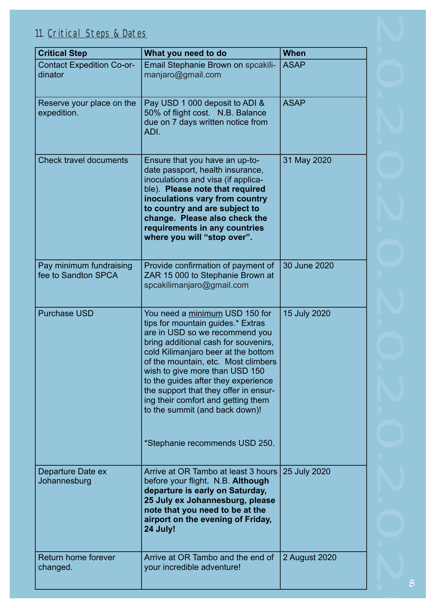### 11. Critical Steps & Dates

| <b>Critical Step</b>                           | What you need to do                                                                                                                                                                                                                                                                                                                                                                                                                                     | <b>When</b>   |
|------------------------------------------------|---------------------------------------------------------------------------------------------------------------------------------------------------------------------------------------------------------------------------------------------------------------------------------------------------------------------------------------------------------------------------------------------------------------------------------------------------------|---------------|
| <b>Contact Expedition Co-or-</b><br>dinator    | Email Stephanie Brown on spcakili-<br>manjaro@gmail.com                                                                                                                                                                                                                                                                                                                                                                                                 | <b>ASAP</b>   |
| Reserve your place on the<br>expedition.       | Pay USD 1 000 deposit to ADI &<br>50% of flight cost. N.B. Balance<br>due on 7 days written notice from<br>ADI.                                                                                                                                                                                                                                                                                                                                         | <b>ASAP</b>   |
| <b>Check travel documents</b>                  | Ensure that you have an up-to-<br>date passport, health insurance,<br>inoculations and visa (if applica-<br>ble). Please note that required<br>inoculations vary from country<br>to country and are subject to<br>change. Please also check the<br>requirements in any countries<br>where you will "stop over".                                                                                                                                         | 31 May 2020   |
| Pay minimum fundraising<br>fee to Sandton SPCA | Provide confirmation of payment of<br>ZAR 15 000 to Stephanie Brown at<br>spcakilimanjaro@gmail.com                                                                                                                                                                                                                                                                                                                                                     | 30 June 2020  |
| <b>Purchase USD</b>                            | You need a minimum USD 150 for<br>tips for mountain guides.* Extras<br>are in USD so we recommend you<br>bring additional cash for souvenirs,<br>cold Kilimanjaro beer at the bottom<br>of the mountain, etc. Most climbers<br>wish to give more than USD 150<br>to the guides after they experience<br>the support that they offer in ensur-<br>ing their comfort and getting them<br>to the summit (and back down)!<br>*Stephanie recommends USD 250. | 15 July 2020  |
| Departure Date ex<br>Johannesburg              | Arrive at OR Tambo at least 3 hours<br>before your flight. N.B. Although<br>departure is early on Saturday,<br>25 July ex Johannesburg, please<br>note that you need to be at the<br>airport on the evening of Friday,<br>24 July!                                                                                                                                                                                                                      | 25 July 2020  |
| <b>Return home forever</b><br>changed.         | Arrive at OR Tambo and the end of<br>your incredible adventure!                                                                                                                                                                                                                                                                                                                                                                                         | 2 August 2020 |

2.0.2.0.2.0.